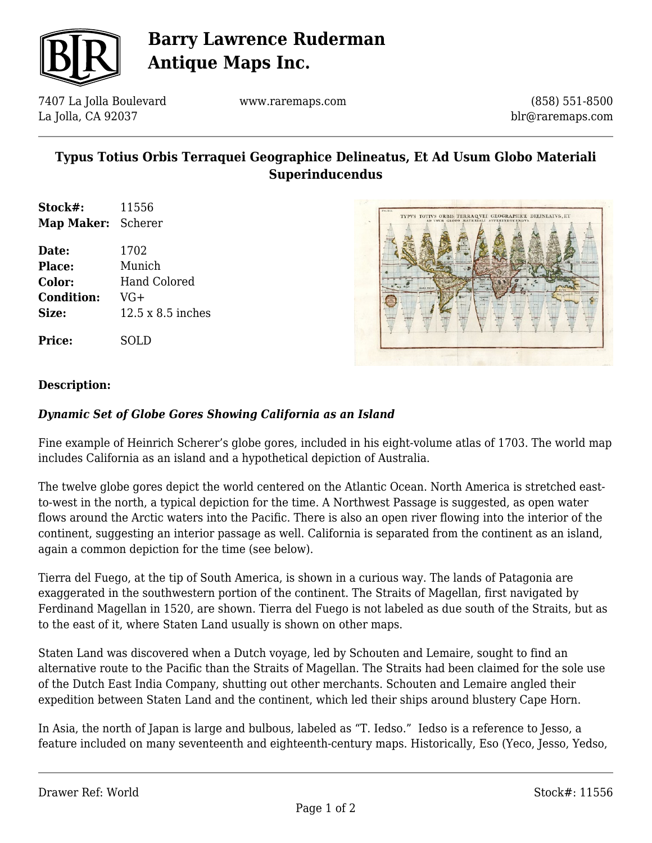

## **Barry Lawrence Ruderman Antique Maps Inc.**

7407 La Jolla Boulevard La Jolla, CA 92037

www.raremaps.com

(858) 551-8500 blr@raremaps.com

### **Typus Totius Orbis Terraquei Geographice Delineatus, Et Ad Usum Globo Materiali Superinducendus**

**Stock#:** 11556 **Map Maker:** Scherer

**Date:** 1702 **Place:** Munich **Color:** Hand Colored **Condition:** VG+ **Size:** 12.5 x 8.5 inches

**Price:** SOLD



### **Description:**

### *Dynamic Set of Globe Gores Showing California as an Island*

Fine example of Heinrich Scherer's globe gores, included in his eight-volume atlas of 1703. The world map includes California as an island and a hypothetical depiction of Australia.

The twelve globe gores depict the world centered on the Atlantic Ocean. North America is stretched eastto-west in the north, a typical depiction for the time. A Northwest Passage is suggested, as open water flows around the Arctic waters into the Pacific. There is also an open river flowing into the interior of the continent, suggesting an interior passage as well. California is separated from the continent as an island, again a common depiction for the time (see below).

Tierra del Fuego, at the tip of South America, is shown in a curious way. The lands of Patagonia are exaggerated in the southwestern portion of the continent. The Straits of Magellan, first navigated by Ferdinand Magellan in 1520, are shown. Tierra del Fuego is not labeled as due south of the Straits, but as to the east of it, where Staten Land usually is shown on other maps.

Staten Land was discovered when a Dutch voyage, led by Schouten and Lemaire, sought to find an alternative route to the Pacific than the Straits of Magellan. The Straits had been claimed for the sole use of the Dutch East India Company, shutting out other merchants. Schouten and Lemaire angled their expedition between Staten Land and the continent, which led their ships around blustery Cape Horn.

In Asia, the north of Japan is large and bulbous, labeled as "T. Iedso." Iedso is a reference to Jesso, a feature included on many seventeenth and eighteenth-century maps. Historically, Eso (Yeco, Jesso, Yedso,